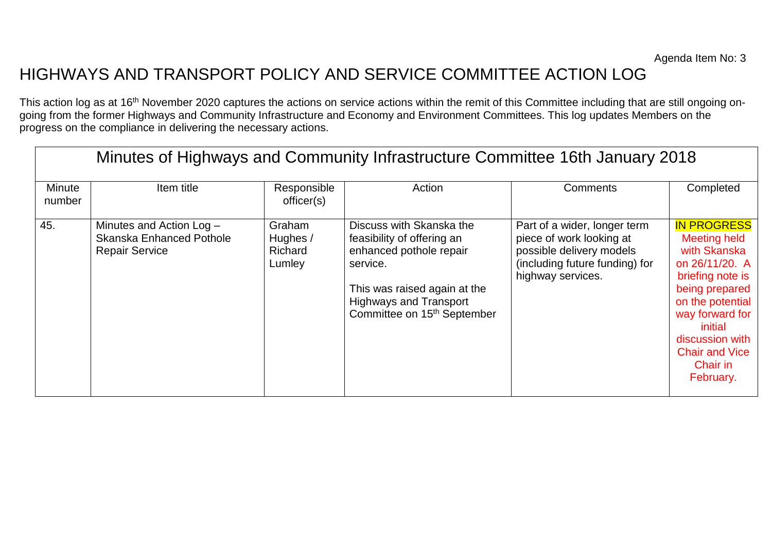## HIGHWAYS AND TRANSPORT POLICY AND SERVICE COMMITTEE ACTION LOG

This action log as at 16<sup>th</sup> November 2020 captures the actions on service actions within the remit of this Committee including that are still ongoing ongoing from the former Highways and Community Infrastructure and Economy and Environment Committees. This log updates Members on the progress on the compliance in delivering the necessary actions.

| Minutes of Highways and Community Infrastructure Committee 16th January 2018 |                                                                               |                                         |                                                                                                                                                                                                           |                                                                                                                                             |                                                                                                                                                                                                                                          |  |
|------------------------------------------------------------------------------|-------------------------------------------------------------------------------|-----------------------------------------|-----------------------------------------------------------------------------------------------------------------------------------------------------------------------------------------------------------|---------------------------------------------------------------------------------------------------------------------------------------------|------------------------------------------------------------------------------------------------------------------------------------------------------------------------------------------------------------------------------------------|--|
| <b>Minute</b><br>number                                                      | Item title                                                                    | Responsible<br>officer(s)               | Action                                                                                                                                                                                                    | Comments                                                                                                                                    | Completed                                                                                                                                                                                                                                |  |
| 45.                                                                          | Minutes and Action Log -<br>Skanska Enhanced Pothole<br><b>Repair Service</b> | Graham<br>Hughes /<br>Richard<br>Lumley | Discuss with Skanska the<br>feasibility of offering an<br>enhanced pothole repair<br>service.<br>This was raised again at the<br><b>Highways and Transport</b><br>Committee on 15 <sup>th</sup> September | Part of a wider, longer term<br>piece of work looking at<br>possible delivery models<br>(including future funding) for<br>highway services. | <b>IN PROGRESS</b><br><b>Meeting held</b><br>with Skanska<br>on 26/11/20. A<br>briefing note is<br>being prepared<br>on the potential<br>way forward for<br>initial<br>discussion with<br><b>Chair and Vice</b><br>Chair in<br>February. |  |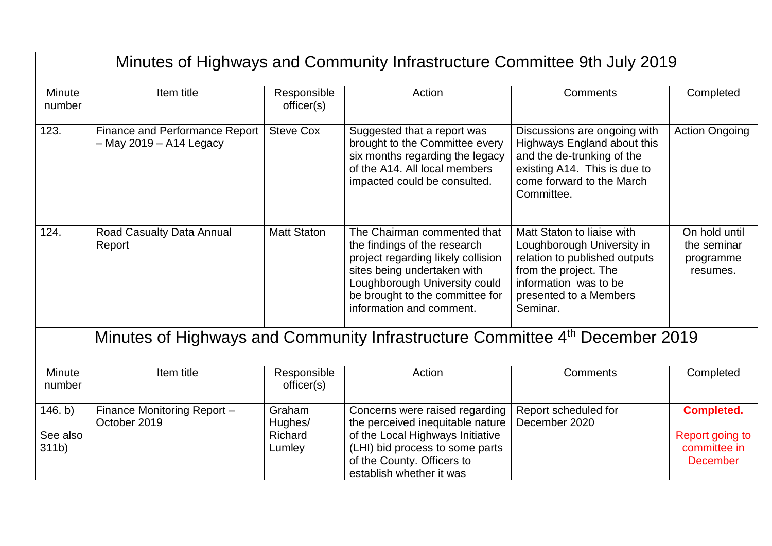| Minutes of Highways and Community Infrastructure Committee 9th July 2019                 |                                                                      |                                        |                                                                                                                                                                                                                                  |                                                                                                                                                                                   |                                                                         |  |
|------------------------------------------------------------------------------------------|----------------------------------------------------------------------|----------------------------------------|----------------------------------------------------------------------------------------------------------------------------------------------------------------------------------------------------------------------------------|-----------------------------------------------------------------------------------------------------------------------------------------------------------------------------------|-------------------------------------------------------------------------|--|
| Minute<br>number                                                                         | Item title                                                           | Responsible<br>officer(s)              | Action                                                                                                                                                                                                                           | Comments                                                                                                                                                                          | Completed                                                               |  |
| 123.                                                                                     | <b>Finance and Performance Report</b><br>$-$ May 2019 $-$ A14 Legacy | <b>Steve Cox</b>                       | Suggested that a report was<br>brought to the Committee every<br>six months regarding the legacy<br>of the A14. All local members<br>impacted could be consulted.                                                                | Discussions are ongoing with<br>Highways England about this<br>and the de-trunking of the<br>existing A14. This is due to<br>come forward to the March<br>Committee.              | <b>Action Ongoing</b>                                                   |  |
| 124.                                                                                     | Road Casualty Data Annual<br>Report                                  | <b>Matt Staton</b>                     | The Chairman commented that<br>the findings of the research<br>project regarding likely collision<br>sites being undertaken with<br>Loughborough University could<br>be brought to the committee for<br>information and comment. | Matt Staton to liaise with<br>Loughborough University in<br>relation to published outputs<br>from the project. The<br>information was to be<br>presented to a Members<br>Seminar. | On hold until<br>the seminar<br>programme<br>resumes.                   |  |
| Minutes of Highways and Community Infrastructure Committee 4 <sup>th</sup> December 2019 |                                                                      |                                        |                                                                                                                                                                                                                                  |                                                                                                                                                                                   |                                                                         |  |
| Minute<br>number                                                                         | Item title                                                           | Responsible<br>officer(s)              | Action                                                                                                                                                                                                                           | Comments                                                                                                                                                                          | Completed                                                               |  |
| 146. b)<br>See also<br>311b)                                                             | Finance Monitoring Report -<br>October 2019                          | Graham<br>Hughes/<br>Richard<br>Lumley | Concerns were raised regarding<br>the perceived inequitable nature<br>of the Local Highways Initiative<br>(LHI) bid process to some parts<br>of the County. Officers to<br>establish whether it was                              | Report scheduled for<br>December 2020                                                                                                                                             | <b>Completed.</b><br>Report going to<br>committee in<br><b>December</b> |  |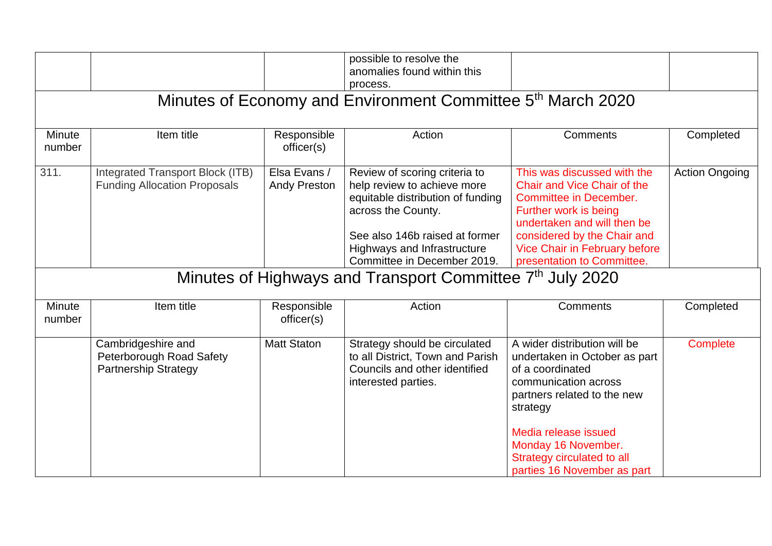|                         |                                                                               |                                     | possible to resolve the<br>anomalies found within this<br>process.                                                                                                                                                                                                                   |                                                                                                                                                                                                                                                                  |                       |  |  |  |
|-------------------------|-------------------------------------------------------------------------------|-------------------------------------|--------------------------------------------------------------------------------------------------------------------------------------------------------------------------------------------------------------------------------------------------------------------------------------|------------------------------------------------------------------------------------------------------------------------------------------------------------------------------------------------------------------------------------------------------------------|-----------------------|--|--|--|
|                         | Minutes of Economy and Environment Committee 5 <sup>th</sup> March 2020       |                                     |                                                                                                                                                                                                                                                                                      |                                                                                                                                                                                                                                                                  |                       |  |  |  |
| <b>Minute</b><br>number | Item title                                                                    | Responsible<br>officer(s)           | Action                                                                                                                                                                                                                                                                               | Comments                                                                                                                                                                                                                                                         | Completed             |  |  |  |
| 311.                    | Integrated Transport Block (ITB)<br><b>Funding Allocation Proposals</b>       | Elsa Evans /<br><b>Andy Preston</b> | Review of scoring criteria to<br>help review to achieve more<br>equitable distribution of funding<br>across the County.<br>See also 146b raised at former<br>Highways and Infrastructure<br>Committee in December 2019.<br>Minutes of Highways and Transport Committee 7th July 2020 | This was discussed with the<br>Chair and Vice Chair of the<br><b>Committee in December.</b><br>Further work is being<br>undertaken and will then be<br>considered by the Chair and<br><b>Vice Chair in February before</b><br>presentation to Committee.         | <b>Action Ongoing</b> |  |  |  |
| Minute<br>number        | Item title                                                                    | Responsible<br>officer(s)           | Action                                                                                                                                                                                                                                                                               | Comments                                                                                                                                                                                                                                                         | Completed             |  |  |  |
|                         | Cambridgeshire and<br>Peterborough Road Safety<br><b>Partnership Strategy</b> | <b>Matt Staton</b>                  | Strategy should be circulated<br>to all District, Town and Parish<br>Councils and other identified<br>interested parties.                                                                                                                                                            | A wider distribution will be<br>undertaken in October as part<br>of a coordinated<br>communication across<br>partners related to the new<br>strategy<br>Media release issued<br>Monday 16 November.<br>Strategy circulated to all<br>parties 16 November as part | Complete              |  |  |  |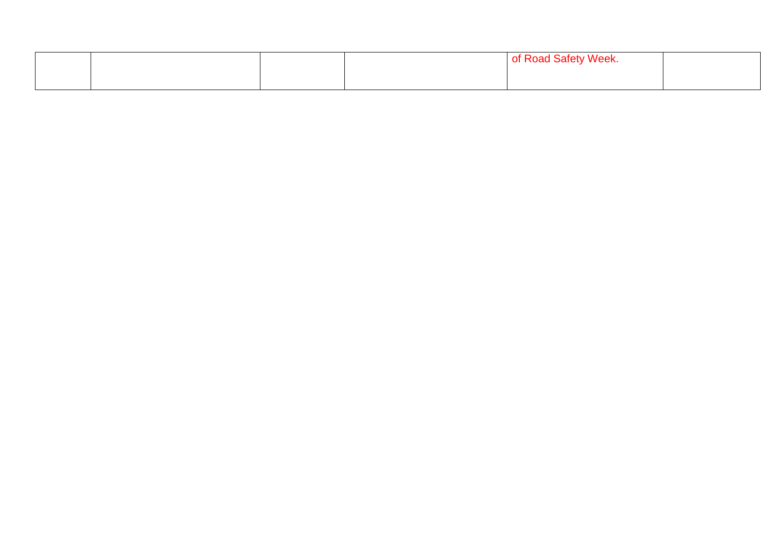|  | of Road Safety Week. |  |
|--|----------------------|--|
|  |                      |  |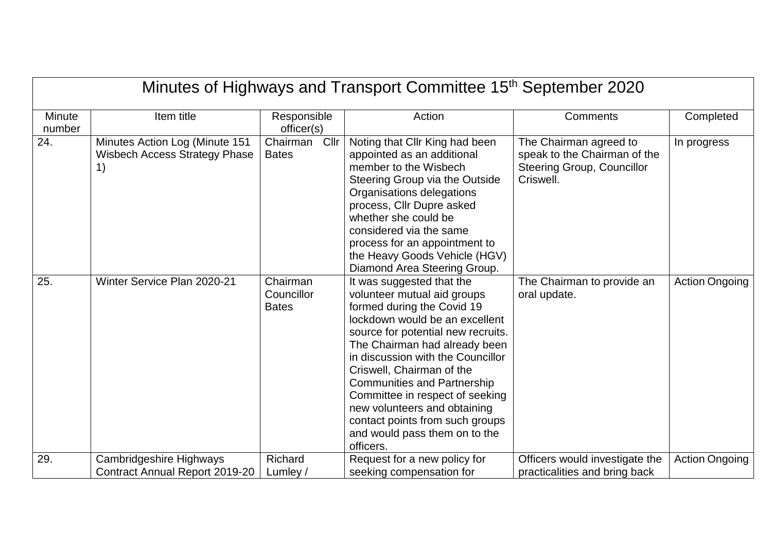| Minutes of Highways and Transport Committee 15 <sup>th</sup> September 2020 |                                                                              |                                        |                                                                                                                                                                                                                                                                                                                                                                                                                                                             |                                                                                                          |                       |  |  |
|-----------------------------------------------------------------------------|------------------------------------------------------------------------------|----------------------------------------|-------------------------------------------------------------------------------------------------------------------------------------------------------------------------------------------------------------------------------------------------------------------------------------------------------------------------------------------------------------------------------------------------------------------------------------------------------------|----------------------------------------------------------------------------------------------------------|-----------------------|--|--|
| Minute<br>number                                                            | Item title                                                                   | Responsible<br>officer(s)              | Action                                                                                                                                                                                                                                                                                                                                                                                                                                                      | Comments                                                                                                 | Completed             |  |  |
| 24.                                                                         | Minutes Action Log (Minute 151<br><b>Wisbech Access Strategy Phase</b><br>1) | Chairman<br>Cllr<br><b>Bates</b>       | Noting that Cllr King had been<br>appointed as an additional<br>member to the Wisbech<br>Steering Group via the Outside<br>Organisations delegations<br>process, Cllr Dupre asked<br>whether she could be<br>considered via the same<br>process for an appointment to<br>the Heavy Goods Vehicle (HGV)<br>Diamond Area Steering Group.                                                                                                                      | The Chairman agreed to<br>speak to the Chairman of the<br><b>Steering Group, Councillor</b><br>Criswell. | In progress           |  |  |
| 25.                                                                         | Winter Service Plan 2020-21                                                  | Chairman<br>Councillor<br><b>Bates</b> | It was suggested that the<br>volunteer mutual aid groups<br>formed during the Covid 19<br>lockdown would be an excellent<br>source for potential new recruits.<br>The Chairman had already been<br>in discussion with the Councillor<br>Criswell, Chairman of the<br><b>Communities and Partnership</b><br>Committee in respect of seeking<br>new volunteers and obtaining<br>contact points from such groups<br>and would pass them on to the<br>officers. | The Chairman to provide an<br>oral update.                                                               | <b>Action Ongoing</b> |  |  |
| 29.                                                                         | <b>Cambridgeshire Highways</b><br>Contract Annual Report 2019-20             | Richard<br>Lumley /                    | Request for a new policy for<br>seeking compensation for                                                                                                                                                                                                                                                                                                                                                                                                    | Officers would investigate the<br>practicalities and bring back                                          | <b>Action Ongoing</b> |  |  |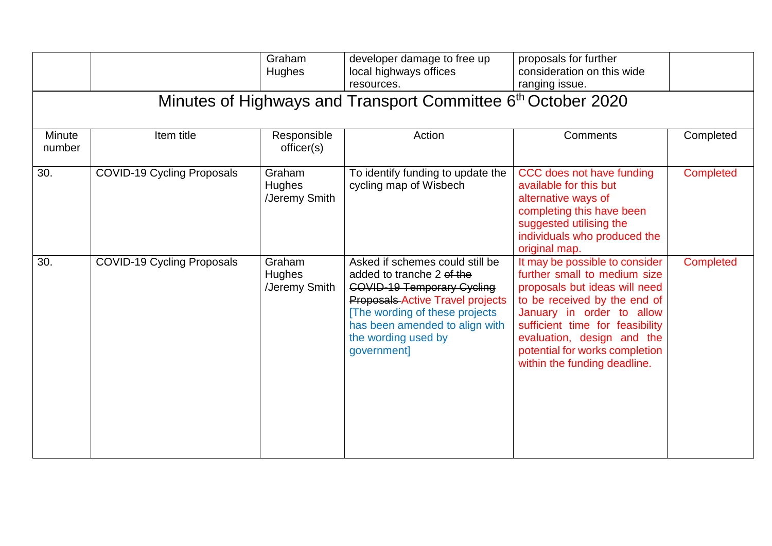|                  |                                                              | Graham<br><b>Hughes</b>                  | developer damage to free up<br>local highways offices<br>resources.                                                                                                                                                                                    | proposals for further<br>consideration on this wide<br>ranging issue.                                                                                                                                                                                                                           |                  |  |  |
|------------------|--------------------------------------------------------------|------------------------------------------|--------------------------------------------------------------------------------------------------------------------------------------------------------------------------------------------------------------------------------------------------------|-------------------------------------------------------------------------------------------------------------------------------------------------------------------------------------------------------------------------------------------------------------------------------------------------|------------------|--|--|
|                  | Minutes of Highways and Transport Committee 6th October 2020 |                                          |                                                                                                                                                                                                                                                        |                                                                                                                                                                                                                                                                                                 |                  |  |  |
| Minute<br>number | Item title                                                   | Responsible<br>officer(s)                | Action                                                                                                                                                                                                                                                 | Comments                                                                                                                                                                                                                                                                                        | Completed        |  |  |
| 30.              | <b>COVID-19 Cycling Proposals</b>                            | Graham<br><b>Hughes</b><br>/Jeremy Smith | To identify funding to update the<br>cycling map of Wisbech                                                                                                                                                                                            | CCC does not have funding<br>available for this but<br>alternative ways of<br>completing this have been<br>suggested utilising the<br>individuals who produced the<br>original map.                                                                                                             | Completed        |  |  |
| 30.              | <b>COVID-19 Cycling Proposals</b>                            | Graham<br><b>Hughes</b><br>/Jeremy Smith | Asked if schemes could still be<br>added to tranche 2 of the<br><b>COVID-19 Temporary Cycling</b><br><b>Proposals Active Travel projects</b><br>[The wording of these projects<br>has been amended to align with<br>the wording used by<br>government] | It may be possible to consider<br>further small to medium size<br>proposals but ideas will need<br>to be received by the end of<br>January in order to allow<br>sufficient time for feasibility<br>evaluation, design and the<br>potential for works completion<br>within the funding deadline. | <b>Completed</b> |  |  |